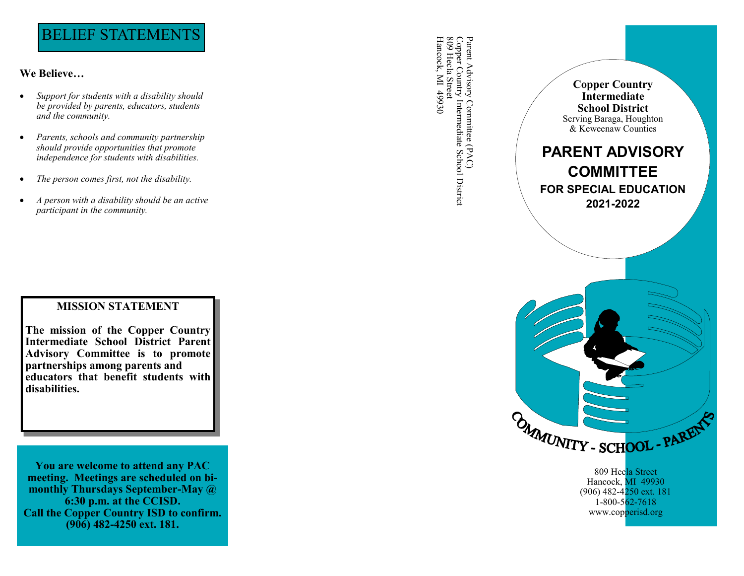# BELIEF STATEMENTS

# **We Believe …**

- *Support for students with a disability should be provided by parents, educators, students and the community.*
- *Parents, schools and community partnership should provide opportunities that promote independence for students with disabilities.*
- *The person comes first, not the disability.*
- *A person with a disability should be an active participant in the community.*

# **MISSION STATEMENT**

**MISSION STATEMENT The mission of the Copper Country The mission of the Copper Country Advisory Committee is to promote Intermediate Advisory Committee is to prome partnerships among parents and** partnerships among parents and **partners that benefit students with disclaiming disabilities. Intermediate School District Parent** 

**You are welcome to attend any PAC meeting. Meetings are scheduled on bi monthly Thursdays September -May @ 6:30 p.m. at the CCISD. Call the Copper Country ISD to confirm. (906) 482 -4250 ext. 181.**

Parent Advisory Committee (PAC)<br>Copper Country Intermediate School District<br>809 Hecla Street<br>Hancock, MI 49930 Hancock, MI 49930 Copper Country Intermediate School District Parent Advisory Committee (PAC) 809 Hecla Street



809 Hecla Street Hancock, MI 49930 (906) 482-4<mark>250 ext. 181</mark> 1 -800 -562 -7618 www.copperisd.org